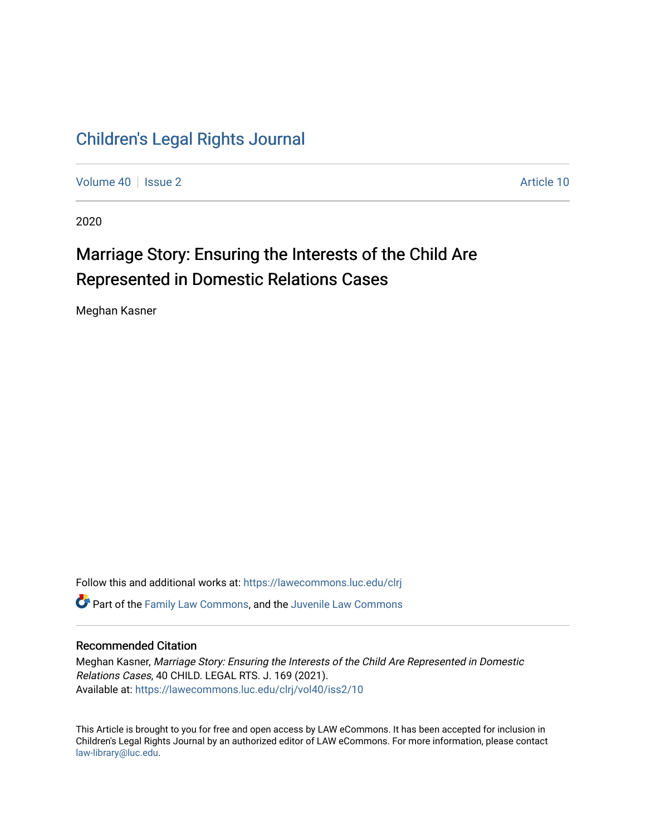## [Children's Legal Rights Journal](https://lawecommons.luc.edu/clrj)

[Volume 40](https://lawecommons.luc.edu/clrj/vol40) | [Issue 2](https://lawecommons.luc.edu/clrj/vol40/iss2) Article 10

2020

# Marriage Story: Ensuring the Interests of the Child Are Represented in Domestic Relations Cases

Meghan Kasner

Follow this and additional works at: [https://lawecommons.luc.edu/clrj](https://lawecommons.luc.edu/clrj?utm_source=lawecommons.luc.edu%2Fclrj%2Fvol40%2Fiss2%2F10&utm_medium=PDF&utm_campaign=PDFCoverPages) **C** Part of the [Family Law Commons,](http://network.bepress.com/hgg/discipline/602?utm_source=lawecommons.luc.edu%2Fclrj%2Fvol40%2Fiss2%2F10&utm_medium=PDF&utm_campaign=PDFCoverPages) and the Juvenile Law Commons

#### Recommended Citation

Meghan Kasner, Marriage Story: Ensuring the Interests of the Child Are Represented in Domestic Relations Cases, 40 CHILD. LEGAL RTS. J. 169 (2021). Available at: [https://lawecommons.luc.edu/clrj/vol40/iss2/10](https://lawecommons.luc.edu/clrj/vol40/iss2/10?utm_source=lawecommons.luc.edu%2Fclrj%2Fvol40%2Fiss2%2F10&utm_medium=PDF&utm_campaign=PDFCoverPages) 

This Article is brought to you for free and open access by LAW eCommons. It has been accepted for inclusion in Children's Legal Rights Journal by an authorized editor of LAW eCommons. For more information, please contact [law-library@luc.edu](mailto:law-library@luc.edu).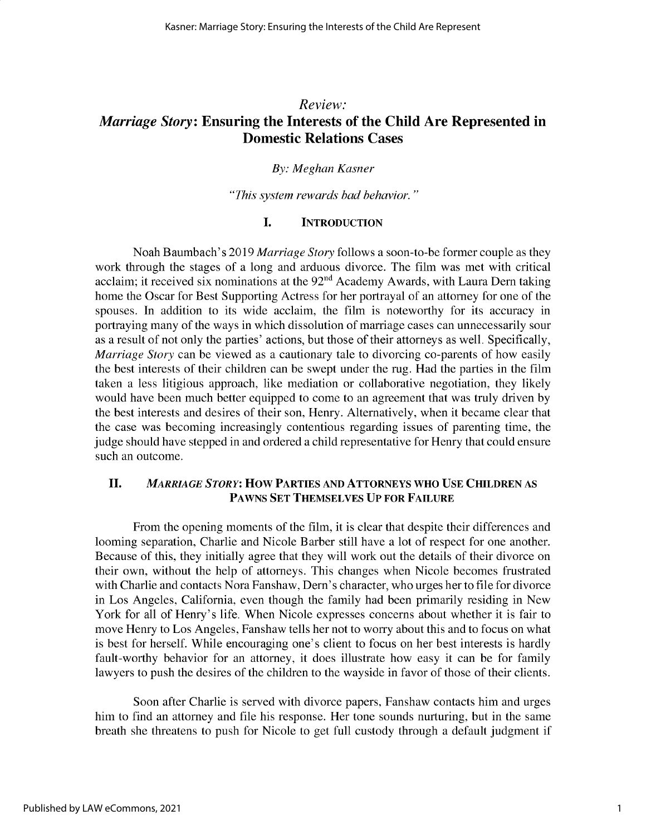### *Review: Marriage Story:* **Ensuring the Interests of the Child Are Represented in Domestic Relations Cases**

### *By: Meghan Kasner*

*"This system rewards bad behavior."*

#### **I. INTRODUCTION**

Noah Baumbach's 2019 *Marriage Story* follows a soon-to-be former couple as they work through the stages of a long and arduous divorce. The film was met with critical acclaim; it received six nominations at the  $92<sup>nd</sup>$  Academy Awards, with Laura Dern taking home the Oscar for Best Supporting Actress for her portrayal of an attorney for one of the spouses. In addition to its wide acclaim, the film is noteworthy for its accuracy in portraying many of the ways in which dissolution of marriage cases can unnecessarily sour as a result of not only the parties' actions, but those of their attorneys as well. Specifically, *Marriage Story* can be viewed as a cautionary tale to divorcing co-parents of how easily the best interests of their children can be swept under the rug. Had the parties in the film taken a less litigious approach, like mediation or collaborative negotiation, they likely would have been much better equipped to come to an agreement that was truly driven by the best interests and desires of their son, Henry. Alternatively, when it became clear that the case was becoming increasingly contentious regarding issues of parenting time, the judge should have stepped in and ordered a child representative for Henry that could ensure such an outcome.

#### **II.** *MARRIAGE STORY:* **HOW PARTIES AND ATTORNEYS WHO USE CHILDREN AS PAWNS SET THEMSELVES UP FOR FAILURE**

From the opening moments of the film, it is clear that despite their differences and looming separation, Charlie and Nicole Barber still have a lot of respect for one another. Because of this, they initially agree that they will work out the details of their divorce on their own, without the help of attorneys. This changes when Nicole becomes frustrated with Charlie and contacts Nora Fanshaw, Dern's character, who urges her to file for divorce in Los Angeles, California, even though the family had been primarily residing in New York for all of Henry's life. When Nicole expresses concerns about whether it is fair to move Henry to Los Angeles, Fanshaw tells her not to worry about this and to focus on what is best for herself. While encouraging one's client to focus on her best interests is hardly fault-worthy behavior for an attorney, it does illustrate how easy it can be for family lawyers to push the desires of the children to the wayside in favor of those of their clients.

Soon after Charlie is served with divorce papers, Fanshaw contacts him and urges him to find an attorney and file his response. Her tone sounds nurturing, but in the same breath she threatens to push for Nicole to get full custody through a default judgment if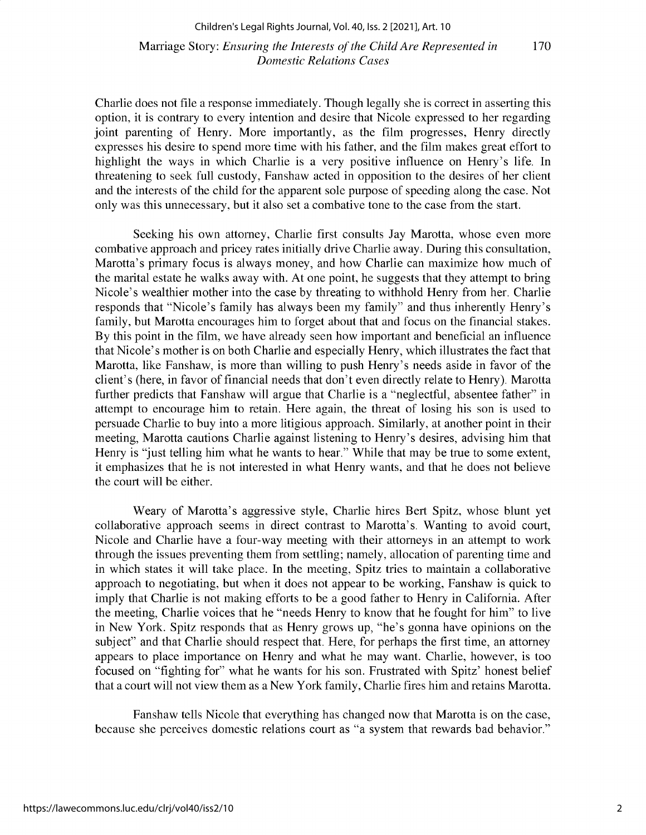#### Marriage Story: *Ensuring the Interests of the Child Are Represented in* 170 *Domestic Relations Cases*

Charlie does not file a response immediately. Though legally she is correct in asserting this option, it is contrary to every intention and desire that Nicole expressed to her regarding joint parenting of Henry. More importantly, as the film progresses, Henry directly expresses his desire to spend more time with his father, and the film makes great effort to highlight the ways in which Charlie is a very positive influence on Henry's life. In threatening to seek full custody, Fanshaw acted in opposition to the desires of her client and the interests of the child for the apparent sole purpose of speeding along the case. Not only was this unnecessary, but it also set a combative tone to the case from the start.

Seeking his own attorney, Charlie first consults Jay Marotta, whose even more combative approach and pricey rates initially drive Charlie away. During this consultation, Marotta's primary focus is always money, and how Charlie can maximize how much of the marital estate he walks away with. At one point, he suggests that they attempt to bring Nicole's wealthier mother into the case by threating to withhold Henry from her. Charlie responds that "Nicole's family has always been my family" and thus inherently Henry's family, but Marotta encourages him to forget about that and focus on the financial stakes. By this point in the film, we have already seen how important and beneficial an influence that Nicole's mother is on both Charlie and especially Henry, which illustrates the fact that Marotta, like Fanshaw, is more than willing to push Henry's needs aside in favor of the client's (here, in favor of financial needs that don't even directly relate to Henry). Marotta further predicts that Fanshaw will argue that Charlie is a "neglectful, absentee father" in attempt to encourage him to retain. Here again, the threat of losing his son is used to persuade Charlie to buy into a more litigious approach. Similarly, at another point in their meeting, Marotta cautions Charlie against listening to Henry's desires, advising him that Henry is "just telling him what he wants to hear." While that may be true to some extent, it emphasizes that he is not interested in what Henry wants, and that he does not believe the court will be either.

Weary of Marotta's aggressive style, Charlie hires Bert Spitz, whose blunt yet collaborative approach seems in direct contrast to Marotta's. Wanting to avoid court, Nicole and Charlie have a four-way meeting with their attorneys in an attempt to work through the issues preventing them from settling; namely, allocation of parenting time and in which states it will take place. In the meeting, Spitz tries to maintain a collaborative approach to negotiating, but when it does not appear to be working, Fanshaw is quick to imply that Charlie is not making efforts to be a good father to Henry in California. After the meeting, Charlie voices that he "needs Henry to know that he fought for him" to live in New York. Spitz responds that as Henry grows up, "he's gonna have opinions on the subject" and that Charlie should respect that. Here, for perhaps the first time, an attorney appears to place importance on Henry and what he may want. Charlie, however, is too focused on "fighting for" what he wants for his son. Frustrated with Spitz' honest belief that a court will not view them as a New York family, Charlie fires him and retains Marotta.

Fanshaw tells Nicole that everything has changed now that Marotta is on the case, because she perceives domestic relations court as "a system that rewards bad behavior."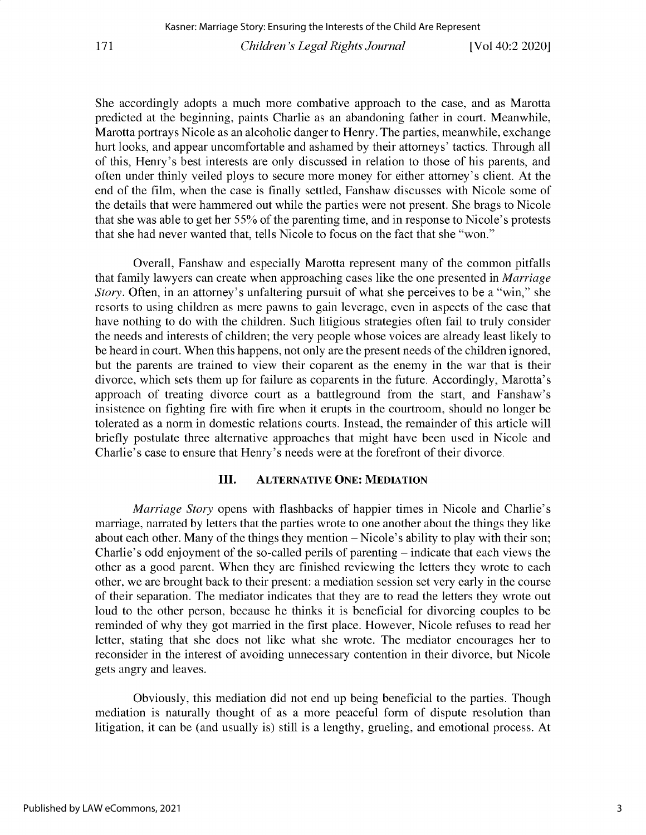**She accordingly adopts a much more combative approach to the case, and as Marotta predicted at the beginning, paints Charlie as an abandoning father in court. Meanwhile, Marotta portrays Nicole as an alcoholic danger to Henry. The parties, meanwhile, exchange hurt looks, and appear uncomfortable and ashamed by their attorneys' tactics. Through all of this, Henry's best interests are only discussed in relation to those of his parents, and** often under thinly veiled ploys to secure more money for either attorney's client. At the end of the film, when the case is finally settled, Fanshaw discusses with Nicole some of **the details that were hammered out while the parties were not present. She brags to Nicole that she was able to get her 55% of the parenting time, and in response to Nicole's protests that she had never wanted that, tells Nicole to focus on the fact that she "won."**

**Overall, Fanshaw and especially Marotta represent many of the common pitfalls that family lawyers can create when approaching cases like the one presented in** *Marriage Story.* **Often, in an attorney's unfaltering pursuit of what she perceives to be a "win," she resorts to using children as mere pawns to gain leverage, even in aspects of the case that** have nothing to do with the children. Such litigious strategies often fail to truly consider the needs and interests of children; the very people whose voices are already least likely to **be heard in court. When this happens, not only are the present needs of the children ignored,** but the parents are trained to view their coparent as the enemy in the war that is their **divorce, which sets them up for failure as coparents in the future. Accordingly, Marotta's approach of treating divorce court as a battleground from the start, and Fanshaw's insistence on fighting fire with fire when it erupts in the courtroom, should no longer be tolerated as a norm in domestic relations courts. Instead, the remainder of this article will briefly postulate three alternative approaches that might have been used in Nicole and** Charlie's **case to ensure** that Henry's **needs were** at the forefront of their divorce.

#### **III. ALTERNATIVE ONE: MEDIATION**

*Marriage Story* **opens with flashbacks of happier times in Nicole and Charlie's marriage, narrated by letters that the parties wrote to one another about the things they like** about each other. Many of the things they mention – Nicole's ability to play with their son; Charlie's odd enjoyment of the so-called perils of parenting - indicate that each views the other as a good parent. When they are finished reviewing the letters they wrote to each **other, we are brought back to their present: a mediation session set very early in the course** of their separation. The mediator indicates that they are to read the letters they wrote out loud to the other person, because he thinks it is beneficial for divorcing couples to be **reminded of why they got married in the first place. However, Nicole refuses to read her letter, stating that she does not like what she wrote. The mediator encourages her to reconsider in the interest of avoiding unnecessary contention in their divorce, but Nicole gets angry and leaves.**

**Obviously, this mediation did not end up being beneficial to the parties. Though** mediation is naturally thought of as a more peaceful form of dispute resolution than litigation, it can be (and usually is) still is a lengthy, grueling, and emotional process. At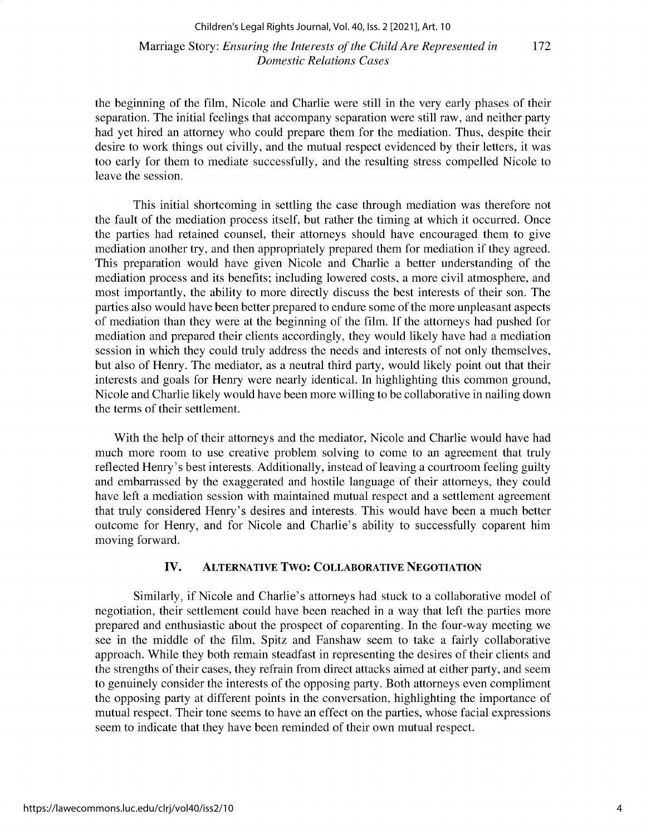#### Marriage Story: *Ensuring the Interests of the Child Are Represented in 172 Domestic Relations Cases*

the beginning of the film, Nicole and Charlie were still in the very early phases of their **separation. The initial feelings that accompany separation were still raw, and neither party** had yet hired an attorney who could prepare them for the mediation. Thus, despite their desire to work things out civilly, and the mutual respect evidenced by their letters, it was **too early for them to mediate successfully, and the resulting stress compelled Nicole to leave the session.**

**This initial shortcoming in settling the case through mediation was therefore not** the fault of the mediation process itself, but rather the timing at which it occurred. Once **the parties had retained counsel, their attorneys should have encouraged them to give** mediation another try, and then appropriately prepared them for mediation if they agreed. **This preparation would have given Nicole and Charlie a better understanding of the mediation process and its benefits; including lowered costs, a more civil atmosphere, and** most importantly, the ability to more directly discuss the best interests of their son. The parties also would have been better prepared to endure some of the more unpleasant aspects of mediation than they were at the beginning of the film. If the attorneys had pushed for **mediation and prepared their clients accordingly, they would likely have had a mediation** session in which they could truly address the needs and interests of not only themselves, but also of Henry. The mediator, as a neutral third party, would likely point out that their **interests and goals for Henry were nearly identical. In highlighting this common ground, Nicole and Charlie likely would have been more willing to be collaborative in nailing down the terms of their settlement.**

With the help of their attorneys and the mediator, Nicole and Charlie would have had **much more room to use creative problem solving to come to an agreement that truly reflected Henry's best interests. Additionally, instead of leaving a courtroom feeling guilty** and embarrassed by the exaggerated and hostile language of their attorneys, they could **have left a mediation session with maintained mutual respect and a settlement agreement that truly considered Henry's desires and interests. This would have been a much better outcome for Henry, and for Nicole and Charlie's ability to successfully coparent him** moving forward.

#### **IV. ALTERNATIVE TWO: COLLABORATIVE NEGOTIATION**

**Similarly, if Nicole and Charlie's attorneys had stuck to a collaborative model of** negotiation, their settlement could have been reached in a way that left the parties more **prepared and enthusiastic about the prospect of coparenting. In the four-way meeting we see in the middle of the film, Spitz and Fanshaw seem to take a fairly collaborative approach. While they both remain steadfast in representing the desires of their clients and the strengths of their cases, they refrain from direct attacks aimed at either party, and seem to genuinely consider the interests of the opposing party. Both attorneys even compliment the opposing party at different points in the conversation, highlighting the importance of mutual respect. Their tone seems to have an effect on the parties, whose facial expressions seem to indicate that they have been reminded of their own mutual respect.**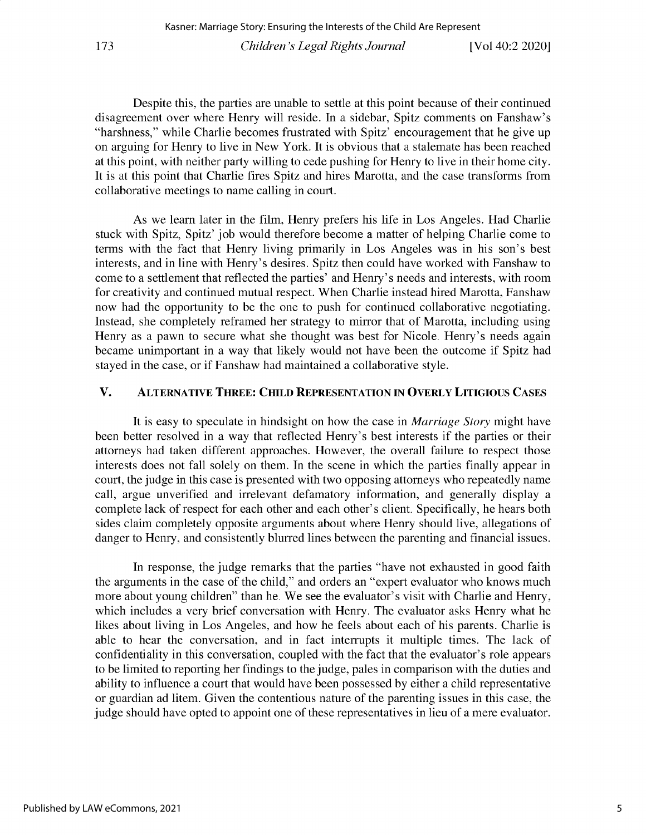Despite this, the parties are unable to settle at this point because of their continued disagreement over where Henry will reside. In a sidebar, Spitz comments on Fanshaw's "harshness," while Charlie becomes frustrated with Spitz' encouragement that he give up on arguing for Henry to live in New York. It is obvious that a stalemate has been reached at this point, with neither party willing to cede pushing for Henry to live in their home city. It is at this point that Charlie fires Spitz and hires Marotta, and the case transforms from collaborative meetings to name calling in court.

As we learn later in the film, Henry prefers his life in Los Angeles. Had Charlie stuck with Spitz, Spitz' job would therefore become a matter of helping Charlie come to terms with the fact that Henry living primarily in Los Angeles was in his son's best interests, and in line with Henry's desires. Spitz then could have worked with Fanshaw to come to a settlement that reflected the parties' and Henry's needs and interests, with room for creativity and continued mutual respect. When Charlie instead hired Marotta, Fanshaw now had the opportunity to be the one to push for continued collaborative negotiating. Instead, she completely reframed her strategy to mirror that of Marotta, including using Henry as a pawn to secure what she thought was best for Nicole. Henry's needs again became unimportant in a way that likely would not have been the outcome if Spitz had stayed in the case, or if Fanshaw had maintained a collaborative style.

#### V. **ALTERNATIVE THREE: CHILD REPRESENTATION IN OVERLY LITIGIOUS CASES**

It is easy to speculate in hindsight on how the case in *Marriage Story* might have been better resolved in a way that reflected Henry's best interests if the parties or their attorneys had taken different approaches. However, the overall failure to respect those interests does not fall solely on them. In the scene in which the parties finally appear in court, the judge in this case is presented with two opposing attorneys who repeatedly name call, argue unverified and irrelevant defamatory information, and generally display a complete lack of respect for each other and each other's client. Specifically, he hears both sides claim completely opposite arguments about where Henry should live, allegations of danger to Henry, and consistently blurred lines between the parenting and financial issues.

In response, the judge remarks that the parties "have not exhausted in good faith the arguments in the case of the child," and orders an "expert evaluator who knows much more about young children" than he. We see the evaluator's visit with Charlie and Henry, which includes a very brief conversation with Henry. The evaluator asks Henry what he likes about living in Los Angeles, and how he feels about each of his parents. Charlie is able to hear the conversation, and in fact interrupts it multiple times. The lack of confidentiality in this conversation, coupled with the fact that the evaluator's role appears to be limited to reporting her findings to the judge, pales in comparison with the duties and ability to influence a court that would have been possessed by either a child representative or guardian ad litem. Given the contentious nature of the parenting issues in this case, the judge should have opted to appoint one of these representatives in lieu of a mere evaluator.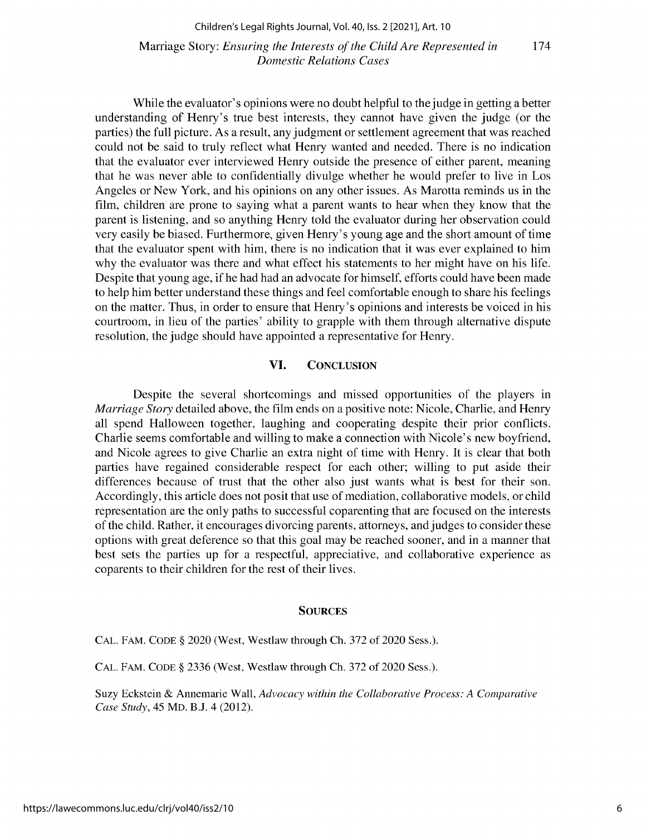Marriage Story: *Ensuring the Interests of the Child Are Represented in* 174 *Domestic Relations Cases*

**While the evaluator's opinions were no doubt helpful to the judge in getting a better** understanding of Henry's true best interests, they cannot have given the judge (or the **parties) the full picture. As a result, any judgment or settlement agreement that was reached could not be said to truly reflect what Henry wanted and needed. There is no indication that the evaluator ever interviewed Henry outside the presence of either parent, meaning** that he was never able to confidentially divulge whether he would prefer to live in Los **Angeles or New York, and his opinions on any other issues. As Marotta reminds us in the** film, children are prone to saying what a parent wants to hear when they know that the **parent is listening, and so anything Henry told the evaluator during her observation could** very easily **be biased. Furthermore, given Henry's young age and the short amount of time** that the evaluator spent with him, there is no indication that it was ever explained to him why the evaluator was there and what effect his statements to her might have on his life. **Despite that young age, if he had had an advocate for himself, efforts could have been made to help him better understand these things and feel comfortable enough to share his feelings on the matter. Thus, in order to ensure that Henry's opinions and interests be voiced in his** courtroom, in lieu of the parties' ability to grapple with them through alternative dispute **resolution, the judge should have appointed a representative for Henry.**

#### **VI. CONCLUSION**

**Despite the several shortcomings and missed opportunities of the players in** *Marriage Story* **detailed above, the film ends on a positive note: Nicole, Charlie, and Henry all spend Halloween together, laughing and cooperating despite their prior conflicts. Charlie seems comfortable and willing to make a connection with Nicole's new boyfriend,** and Nicole agrees to give Charlie an extra night of time with Henry. It is clear that both **parties have regained considerable respect for each other; willing to put aside their differences because of trust that the other also just wants what is best for their son.** Accordingly, this article does not posit that use of mediation, collaborative models, or child **representation are the only paths to successful coparenting that are focused on the interests of the child. Rather, it encourages divorcing parents, attorneys, and judges to consider these** options with great deference so that this goal may be reached sooner, and in a manner that best sets the parties up for a respectful, appreciative, and collaborative experience as coparents to their children for the rest of their lives.

#### **SOURCES**

CAL. FAM. CODE § 2020 (West, Westlaw through Ch. 372 of 2020 Sess.).

CAL. FAM. CODE § 2336 (West, Westlaw through Ch. 372 of 2020 Sess.).

Suzy Eckstein & Annemarie Wall, *Advocacy within the Collaborative Process: A Comparative Case Study, 45* MD. B.J. 4 (2012).